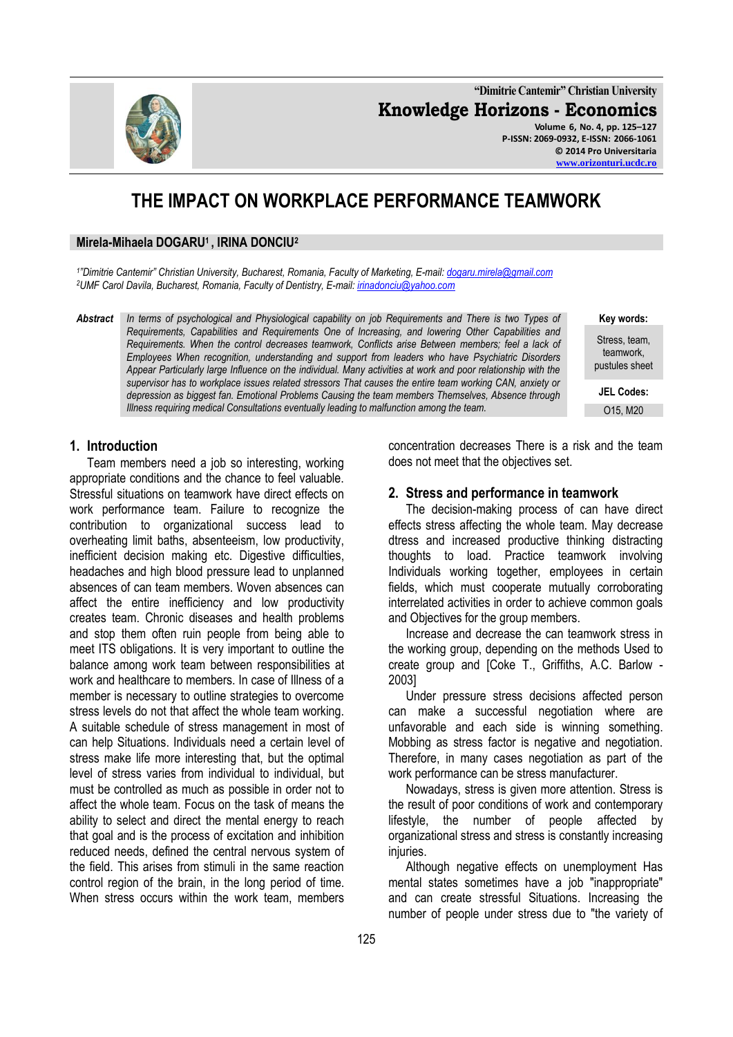**"Dimitrie Cantemir" Christian University Knowledge Horizons - Economics Volume 6, No. 4, pp. 125–127 P-ISSN: 2069-0932, E-ISSN: 2066-1061**

**© 2014 Pro Universitaria [www.orizonturi.ucdc.ro](http://www.orizonturi.ucdc.ro/)**

# **THE IMPACT ON WORKPLACE PERFORMANCE TEAMWORK**

#### **Mirela-Mihaela DOGARU1 , IRINA DONCIU<sup>2</sup>**

*1 "Dimitrie Cantemir" Christian University, Bucharest, Romania, Faculty of Marketing, E-mail: [dogaru.mirela@gmail.com](mailto:dogaru.mirela@gmail.com) <sup>2</sup>UMF Carol Davila, Bucharest, Romania, Faculty of Dentistry, E-mail[: irinadonciu@yahoo.com](mailto:irinadonciu@yahoo.com)*

*Abstract In terms of psychological and Physiological capability on job Requirements and There is two Types of Requirements, Capabilities and Requirements One of Increasing, and lowering Other Capabilities and Requirements. When the control decreases teamwork, Conflicts arise Between members; feel a lack of Employees When recognition, understanding and support from leaders who have Psychiatric Disorders Appear Particularly large Influence on the individual. Many activities at work and poor relationship with the supervisor has to workplace issues related stressors That causes the entire team working CAN, anxiety or depression as biggest fan. Emotional Problems Causing the team members Themselves, Absence through Illness requiring medical Consultations eventually leading to malfunction among the team.*

> concentration decreases There is a risk and the team does not meet that the objectives set.

#### **2. Stress and performance in teamwork**

The decision-making process of can have direct effects stress affecting the whole team. May decrease dtress and increased productive thinking distracting thoughts to load. Practice teamwork involving Individuals working together, employees in certain fields, which must cooperate mutually corroborating interrelated activities in order to achieve common goals and Objectives for the group members.

Increase and decrease the can teamwork stress in the working group, depending on the methods Used to create group and [Coke T., Griffiths, A.C. Barlow - 2003]

Under pressure stress decisions affected person can make a successful negotiation where are unfavorable and each side is winning something. Mobbing as stress factor is negative and negotiation. Therefore, in many cases negotiation as part of the work performance can be stress manufacturer.

Nowadays, stress is given more attention. Stress is the result of poor conditions of work and contemporary lifestyle, the number of people affected by organizational stress and stress is constantly increasing injuries.

Although negative effects on unemployment Has mental states sometimes have a job "inappropriate" and can create stressful Situations. Increasing the number of people under stress due to "the variety of

#### **1. Introduction**

Team members need a job so interesting, working appropriate conditions and the chance to feel valuable. Stressful situations on teamwork have direct effects on work performance team. Failure to recognize the contribution to organizational success lead to overheating limit baths, absenteeism, low productivity, inefficient decision making etc. Digestive difficulties, headaches and high blood pressure lead to unplanned absences of can team members. Woven absences can affect the entire inefficiency and low productivity creates team. Chronic diseases and health problems and stop them often ruin people from being able to meet ITS obligations. It is very important to outline the balance among work team between responsibilities at work and healthcare to members. In case of Illness of a member is necessary to outline strategies to overcome stress levels do not that affect the whole team working. A suitable schedule of stress management in most of can help Situations. Individuals need a certain level of stress make life more interesting that, but the optimal level of stress varies from individual to individual, but must be controlled as much as possible in order not to affect the whole team. Focus on the task of means the ability to select and direct the mental energy to reach that goal and is the process of excitation and inhibition reduced needs, defined the central nervous system of the field. This arises from stimuli in the same reaction control region of the brain, in the long period of time. When stress occurs within the work team, members



**Key words:** Stress, team,

teamwork, pustules sheet

**JEL Codes:** O15, M20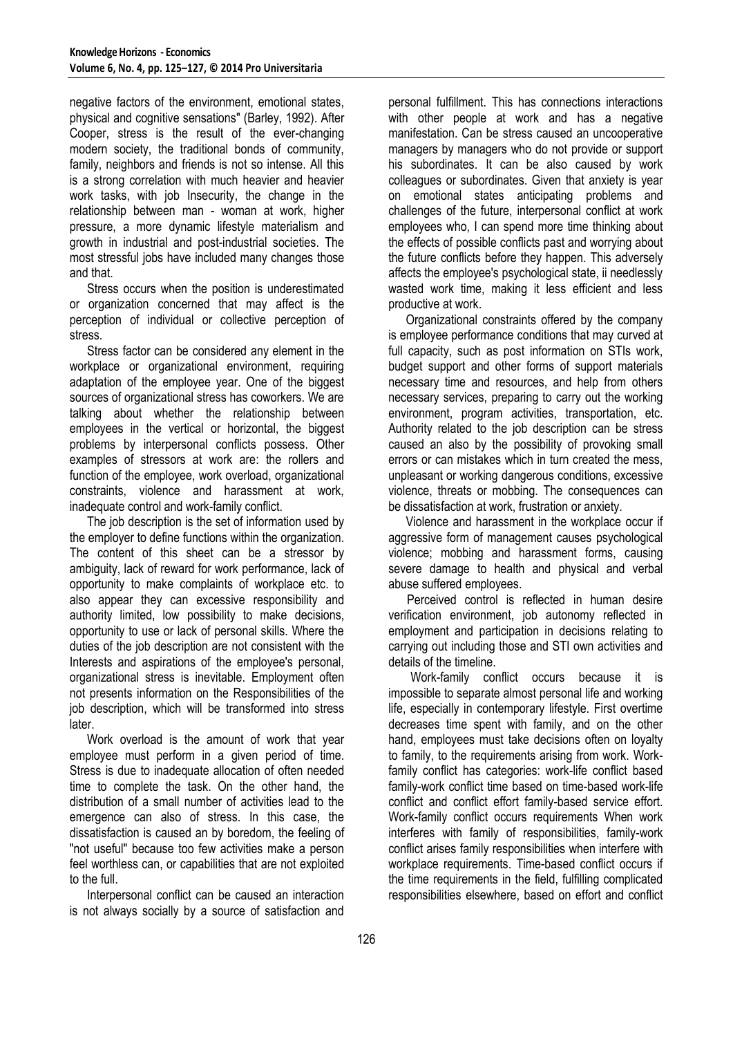negative factors of the environment, emotional states, physical and cognitive sensations" (Barley, 1992). After Cooper, stress is the result of the ever-changing modern society, the traditional bonds of community, family, neighbors and friends is not so intense. All this is a strong correlation with much heavier and heavier work tasks, with job Insecurity, the change in the relationship between man - woman at work, higher pressure, a more dynamic lifestyle materialism and growth in industrial and post-industrial societies. The most stressful jobs have included many changes those and that.

Stress occurs when the position is underestimated or organization concerned that may affect is the perception of individual or collective perception of stress.

Stress factor can be considered any element in the workplace or organizational environment, requiring adaptation of the employee year. One of the biggest sources of organizational stress has coworkers. We are talking about whether the relationship between employees in the vertical or horizontal, the biggest problems by interpersonal conflicts possess. Other examples of stressors at work are: the rollers and function of the employee, work overload, organizational constraints, violence and harassment at work, inadequate control and work-family conflict.

The job description is the set of information used by the employer to define functions within the organization. The content of this sheet can be a stressor by ambiguity, lack of reward for work performance, lack of opportunity to make complaints of workplace etc. to also appear they can excessive responsibility and authority limited, low possibility to make decisions, opportunity to use or lack of personal skills. Where the duties of the job description are not consistent with the Interests and aspirations of the employee's personal, organizational stress is inevitable. Employment often not presents information on the Responsibilities of the job description, which will be transformed into stress later.

Work overload is the amount of work that year employee must perform in a given period of time. Stress is due to inadequate allocation of often needed time to complete the task. On the other hand, the distribution of a small number of activities lead to the emergence can also of stress. In this case, the dissatisfaction is caused an by boredom, the feeling of "not useful" because too few activities make a person feel worthless can, or capabilities that are not exploited to the full.

Interpersonal conflict can be caused an interaction is not always socially by a source of satisfaction and personal fulfillment. This has connections interactions with other people at work and has a negative manifestation. Can be stress caused an uncooperative managers by managers who do not provide or support his subordinates. It can be also caused by work colleagues or subordinates. Given that anxiety is year on emotional states anticipating problems and challenges of the future, interpersonal conflict at work employees who, I can spend more time thinking about the effects of possible conflicts past and worrying about the future conflicts before they happen. This adversely affects the employee's psychological state, ii needlessly wasted work time, making it less efficient and less productive at work.

Organizational constraints offered by the company is employee performance conditions that may curved at full capacity, such as post information on STIs work, budget support and other forms of support materials necessary time and resources, and help from others necessary services, preparing to carry out the working environment, program activities, transportation, etc. Authority related to the job description can be stress caused an also by the possibility of provoking small errors or can mistakes which in turn created the mess, unpleasant or working dangerous conditions, excessive violence, threats or mobbing. The consequences can be dissatisfaction at work, frustration or anxiety.

Violence and harassment in the workplace occur if aggressive form of management causes psychological violence; mobbing and harassment forms, causing severe damage to health and physical and verbal abuse suffered employees.

 Perceived control is reflected in human desire verification environment, job autonomy reflected in employment and participation in decisions relating to carrying out including those and STI own activities and details of the timeline.

Work-family conflict occurs because it is impossible to separate almost personal life and working life, especially in contemporary lifestyle. First overtime decreases time spent with family, and on the other hand, employees must take decisions often on loyalty to family, to the requirements arising from work. Workfamily conflict has categories: work-life conflict based family-work conflict time based on time-based work-life conflict and conflict effort family-based service effort. Work-family conflict occurs requirements When work interferes with family of responsibilities, family-work conflict arises family responsibilities when interfere with workplace requirements. Time-based conflict occurs if the time requirements in the field, fulfilling complicated responsibilities elsewhere, based on effort and conflict